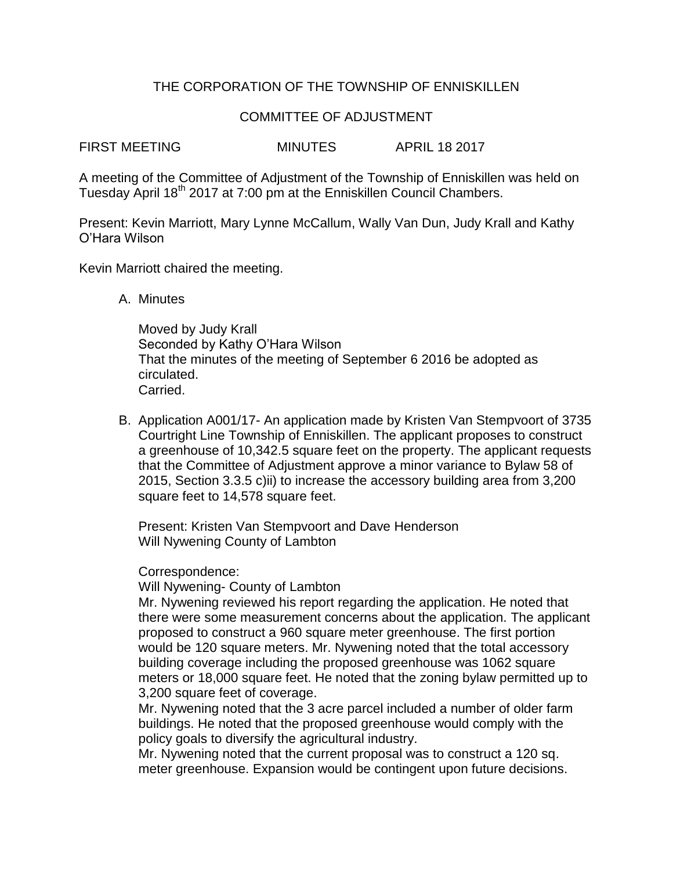# THE CORPORATION OF THE TOWNSHIP OF ENNISKILLEN

## COMMITTEE OF ADJUSTMENT

FIRST MEETING MINUTES APRIL 18 2017

A meeting of the Committee of Adjustment of the Township of Enniskillen was held on Tuesday April 18<sup>th</sup> 2017 at 7:00 pm at the Enniskillen Council Chambers.

Present: Kevin Marriott, Mary Lynne McCallum, Wally Van Dun, Judy Krall and Kathy O'Hara Wilson

Kevin Marriott chaired the meeting.

A. Minutes

Moved by Judy Krall Seconded by Kathy O'Hara Wilson That the minutes of the meeting of September 6 2016 be adopted as circulated. Carried.

B. Application A001/17- An application made by Kristen Van Stempvoort of 3735 Courtright Line Township of Enniskillen. The applicant proposes to construct a greenhouse of 10,342.5 square feet on the property. The applicant requests that the Committee of Adjustment approve a minor variance to Bylaw 58 of 2015, Section 3.3.5 c)ii) to increase the accessory building area from 3,200 square feet to 14,578 square feet.

Present: Kristen Van Stempvoort and Dave Henderson Will Nywening County of Lambton

Correspondence:

Will Nywening- County of Lambton

Mr. Nywening reviewed his report regarding the application. He noted that there were some measurement concerns about the application. The applicant proposed to construct a 960 square meter greenhouse. The first portion would be 120 square meters. Mr. Nywening noted that the total accessory building coverage including the proposed greenhouse was 1062 square meters or 18,000 square feet. He noted that the zoning bylaw permitted up to 3,200 square feet of coverage.

Mr. Nywening noted that the 3 acre parcel included a number of older farm buildings. He noted that the proposed greenhouse would comply with the policy goals to diversify the agricultural industry.

Mr. Nywening noted that the current proposal was to construct a 120 sq. meter greenhouse. Expansion would be contingent upon future decisions.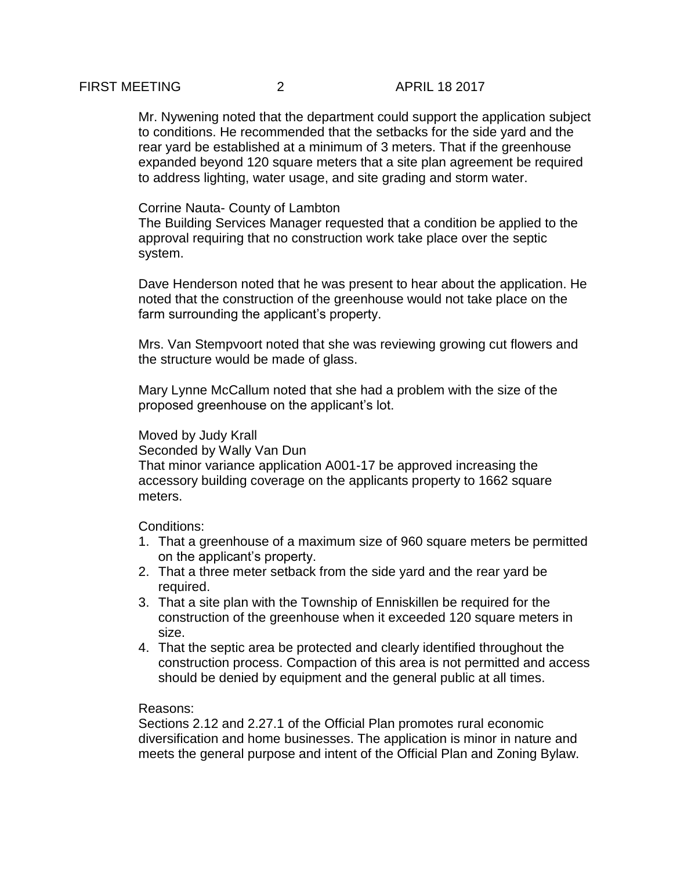## FIRST MEETING 2 APRIL 18 2017

Mr. Nywening noted that the department could support the application subject to conditions. He recommended that the setbacks for the side yard and the rear yard be established at a minimum of 3 meters. That if the greenhouse expanded beyond 120 square meters that a site plan agreement be required to address lighting, water usage, and site grading and storm water.

### Corrine Nauta- County of Lambton

The Building Services Manager requested that a condition be applied to the approval requiring that no construction work take place over the septic system.

Dave Henderson noted that he was present to hear about the application. He noted that the construction of the greenhouse would not take place on the farm surrounding the applicant's property.

Mrs. Van Stempvoort noted that she was reviewing growing cut flowers and the structure would be made of glass.

Mary Lynne McCallum noted that she had a problem with the size of the proposed greenhouse on the applicant's lot.

### Moved by Judy Krall

Seconded by Wally Van Dun

That minor variance application A001-17 be approved increasing the accessory building coverage on the applicants property to 1662 square meters.

Conditions:

- 1. That a greenhouse of a maximum size of 960 square meters be permitted on the applicant's property.
- 2. That a three meter setback from the side yard and the rear yard be required.
- 3. That a site plan with the Township of Enniskillen be required for the construction of the greenhouse when it exceeded 120 square meters in size.
- 4. That the septic area be protected and clearly identified throughout the construction process. Compaction of this area is not permitted and access should be denied by equipment and the general public at all times.

#### Reasons:

Sections 2.12 and 2.27.1 of the Official Plan promotes rural economic diversification and home businesses. The application is minor in nature and meets the general purpose and intent of the Official Plan and Zoning Bylaw.